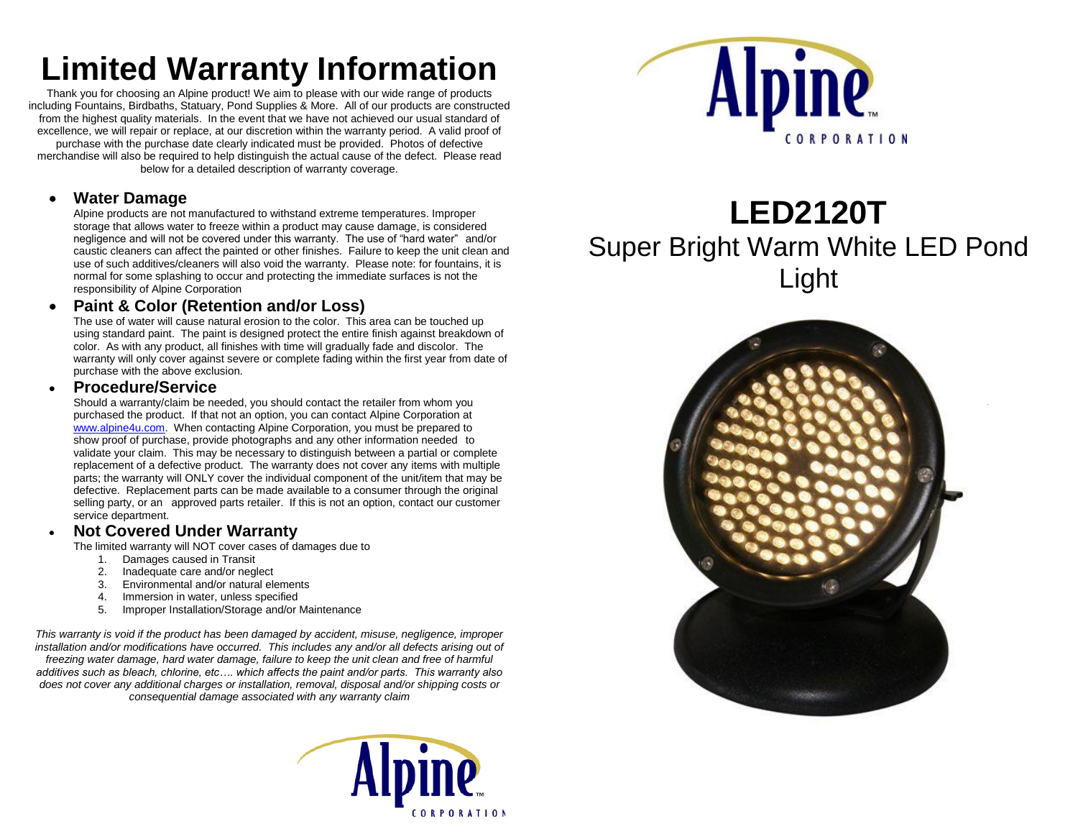# **Limited Warranty Information**

Thank you for choosing an Alpine product! We aim to please with our wide range of products including Fountains, Birdbaths, Statuary, Pond Supplies & More. All of our products are constructed from the highest quality materials. In the event that we have not achieved our usual standard of excellence, we will repair or replace, at our discretion within the warranty period. A valid proof of purchase with the purchase date clearly indicated must be provided. Photos of defective merchandise will also be required to help distinguish the actual cause of the defect. Please read below for a detailed description of warranty coverage.

### **Water Damage**

Alpine products are not manufactured to withstand extreme temperatures. Improper storage that allows water to freeze within a product may cause damage, is considered negligence and will not be covered under this warranty. The use of "hard water" and/or caustic cleaners can affect the painted or other finishes. Failure to keep the unit clean and use of such additives/cleaners will also void the warranty. Please note: for fountains, it is normal for some splashing to occur and protecting the immediate surfaces is not the responsibility of Alpine Corporation

### **Paint & Color (Retention and/or Loss)**

The use of water will cause natural erosion to the color. This area can be touched up using standard paint. The paint is designed protect the entire finish against breakdown of color. As with any product, all finishes with time will gradually fade and discolor. The warranty will only cover against severe or complete fading within the first year from date of purchase with the above exclusion.

#### **Procedure/Service**

Should a warranty/claim be needed, you should contact the retailer from whom you purchased the product. If that not an option, you can contact Alpine Corporation at [www.alpine4u.com.](http://www.alpine4u.com/) When contacting Alpine Corporation, you must be prepared to show proof of purchase, provide photographs and any other information needed to validate your claim. This may be necessary to distinguish between a partial or complete replacement of a defective product. The warranty does not cover any items with multiple parts; the warranty will ONLY cover the individual component of the unit/item that may be defective. Replacement parts can be made available to a consumer through the original selling party, or an approved parts retailer. If this is not an option, contact our customer service department.

### **Not Covered Under Warranty**

The limited warranty will NOT cover cases of damages due to

- 1. Damages caused in Transit
- 2. Inadequate care and/or neglect
- 3. Environmental and/or natural elements
- 4. Immersion in water, unless specified
- 5. Improper Installation/Storage and/or Maintenance

*This warranty is void if the product has been damaged by accident, misuse, negligence, improper installation and/or modifications have occurred. This includes any and/or all defects arising out of freezing water damage, hard water damage, failure to keep the unit clean and free of harmful additives such as bleach, chlorine, etc…. which affects the paint and/or parts. This warranty also does not cover any additional charges or installation, removal, disposal and/or shipping costs or consequential damage associated with any warranty claim*





## **LED2120T** Super Bright Warm White LED Pond Light